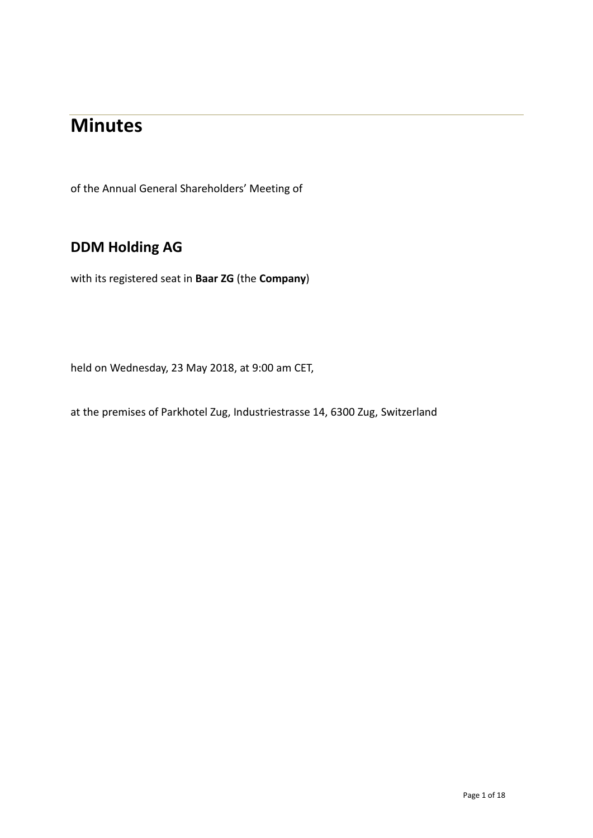# **Minutes**

of the Annual General Shareholders' Meeting of

# **DDM Holding AG**

with its registered seat in **Baar ZG** (the **Company**)

held on Wednesday, 23 May 2018, at 9:00 am CET,

at the premises of Parkhotel Zug, Industriestrasse 14, 6300 Zug, Switzerland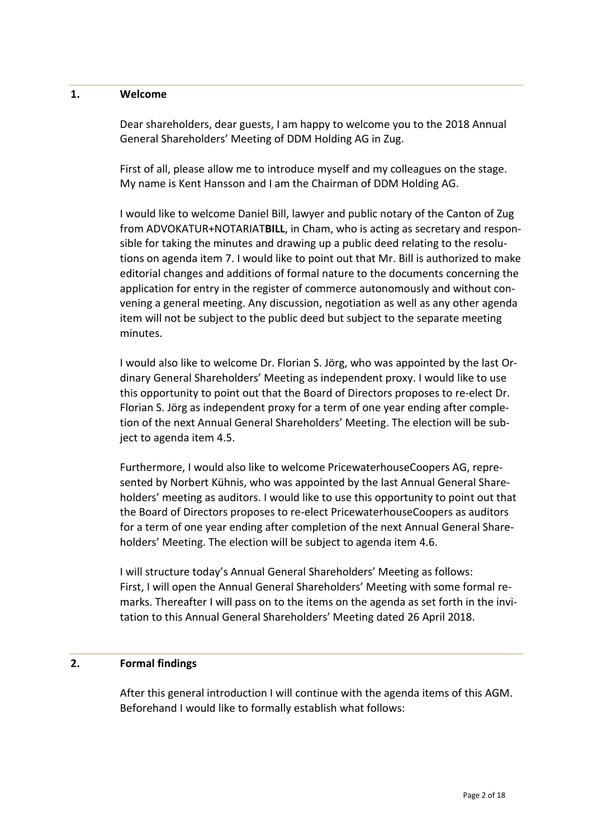#### **1. Welcome**

Dear shareholders, dear guests, I am happy to welcome you to the 2018 Annual General Shareholders' Meeting of DDM Holding AG in Zug.

First of all, please allow me to introduce myself and my colleagues on the stage. My name is Kent Hansson and I am the Chairman of DDM Holding AG.

I would like to welcome Daniel Bill, lawyer and public notary of the Canton of Zug from ADVOKATUR+NOTARIAT**BILL**, in Cham, who is acting as secretary and responsible for taking the minutes and drawing up a public deed relating to the resolutions on agenda item 7. I would like to point out that Mr. Bill is authorized to make editorial changes and additions of formal nature to the documents concerning the application for entry in the register of commerce autonomously and without convening a general meeting. Any discussion, negotiation as well as any other agenda item will not be subject to the public deed but subject to the separate meeting minutes.

I would also like to welcome Dr. Florian S. Jörg, who was appointed by the last Ordinary General Shareholders' Meeting as independent proxy. I would like to use this opportunity to point out that the Board of Directors proposes to re-elect Dr. Florian S. Jörg as independent proxy for a term of one year ending after completion of the next Annual General Shareholders' Meeting. The election will be subject to agenda item 4.5.

Furthermore, I would also like to welcome PricewaterhouseCoopers AG, represented by Norbert Kühnis, who was appointed by the last Annual General Shareholders' meeting as auditors. I would like to use this opportunity to point out that the Board of Directors proposes to re-elect PricewaterhouseCoopers as auditors for a term of one year ending after completion of the next Annual General Shareholders' Meeting. The election will be subject to agenda item 4.6.

I will structure today's Annual General Shareholders' Meeting as follows: First, I will open the Annual General Shareholders' Meeting with some formal remarks. Thereafter I will pass on to the items on the agenda as set forth in the invitation to this Annual General Shareholders' Meeting dated 26 April 2018.

#### **2. Formal findings**

After this general introduction I will continue with the agenda items of this AGM. Beforehand I would like to formally establish what follows: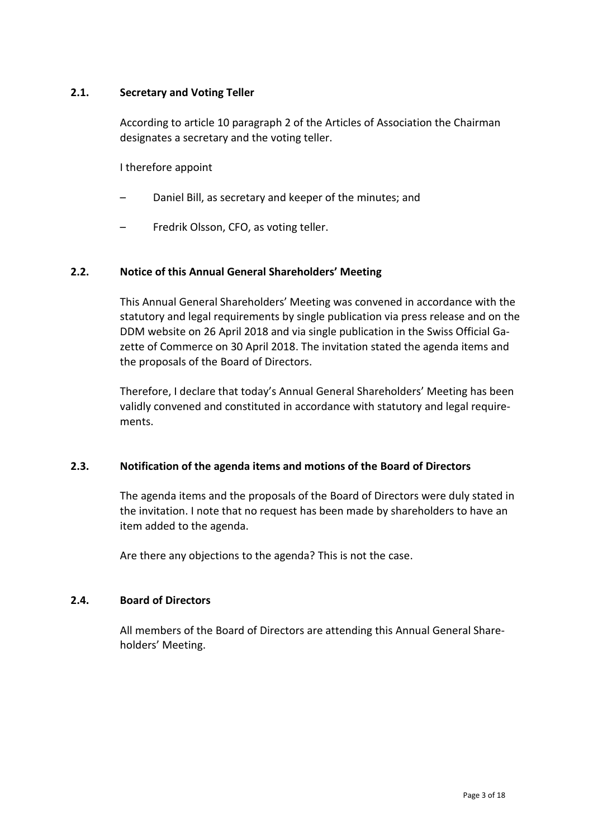#### **2.1. Secretary and Voting Teller**

According to article 10 paragraph 2 of the Articles of Association the Chairman designates a secretary and the voting teller.

I therefore appoint

- Daniel Bill, as secretary and keeper of the minutes; and
- Fredrik Olsson, CFO, as voting teller.

#### **2.2. Notice of this Annual General Shareholders' Meeting**

This Annual General Shareholders' Meeting was convened in accordance with the statutory and legal requirements by single publication via press release and on the DDM website on 26 April 2018 and via single publication in the Swiss Official Gazette of Commerce on 30 April 2018. The invitation stated the agenda items and the proposals of the Board of Directors.

Therefore, I declare that today's Annual General Shareholders' Meeting has been validly convened and constituted in accordance with statutory and legal requirements.

#### **2.3. Notification of the agenda items and motions of the Board of Directors**

The agenda items and the proposals of the Board of Directors were duly stated in the invitation. I note that no request has been made by shareholders to have an item added to the agenda.

Are there any objections to the agenda? This is not the case.

#### **2.4. Board of Directors**

All members of the Board of Directors are attending this Annual General Shareholders' Meeting.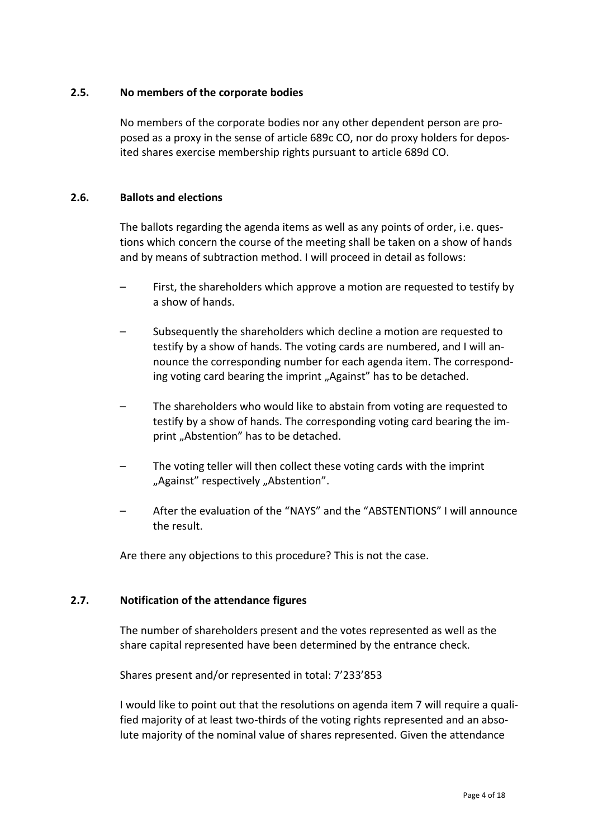#### **2.5. No members of the corporate bodies**

No members of the corporate bodies nor any other dependent person are proposed as a proxy in the sense of article 689c CO, nor do proxy holders for deposited shares exercise membership rights pursuant to article 689d CO.

#### **2.6. Ballots and elections**

The ballots regarding the agenda items as well as any points of order, i.e. questions which concern the course of the meeting shall be taken on a show of hands and by means of subtraction method. I will proceed in detail as follows:

- First, the shareholders which approve a motion are requested to testify by a show of hands.
- Subsequently the shareholders which decline a motion are requested to testify by a show of hands. The voting cards are numbered, and I will announce the corresponding number for each agenda item. The corresponding voting card bearing the imprint "Against" has to be detached.
- The shareholders who would like to abstain from voting are requested to testify by a show of hands. The corresponding voting card bearing the imprint "Abstention" has to be detached.
- The voting teller will then collect these voting cards with the imprint "Against" respectively "Abstention".
- After the evaluation of the "NAYS" and the "ABSTENTIONS" I will announce the result.

Are there any objections to this procedure? This is not the case.

#### **2.7. Notification of the attendance figures**

The number of shareholders present and the votes represented as well as the share capital represented have been determined by the entrance check.

Shares present and/or represented in total: 7'233'853

I would like to point out that the resolutions on agenda item 7 will require a qualified majority of at least two-thirds of the voting rights represented and an absolute majority of the nominal value of shares represented. Given the attendance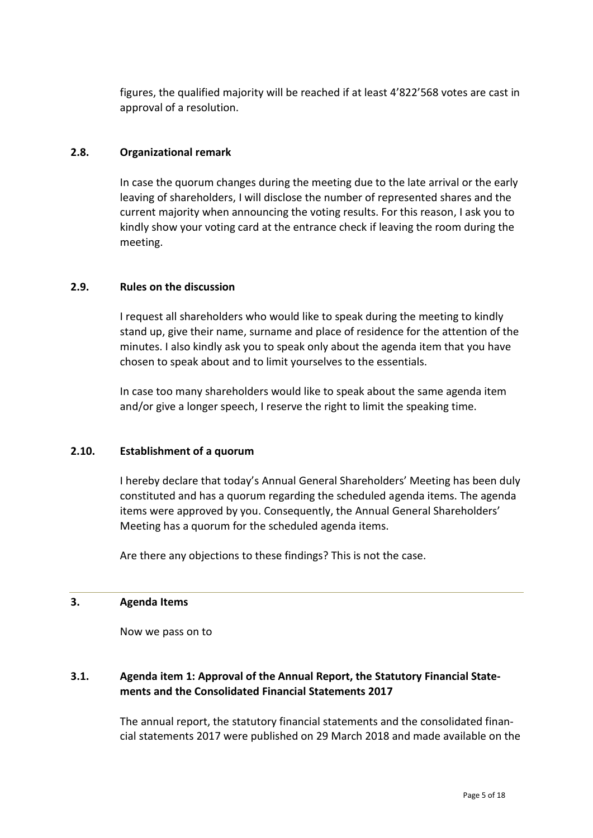figures, the qualified majority will be reached if at least 4'822'568 votes are cast in approval of a resolution.

#### **2.8. Organizational remark**

In case the quorum changes during the meeting due to the late arrival or the early leaving of shareholders, I will disclose the number of represented shares and the current majority when announcing the voting results. For this reason, I ask you to kindly show your voting card at the entrance check if leaving the room during the meeting.

#### **2.9. Rules on the discussion**

I request all shareholders who would like to speak during the meeting to kindly stand up, give their name, surname and place of residence for the attention of the minutes. I also kindly ask you to speak only about the agenda item that you have chosen to speak about and to limit yourselves to the essentials.

In case too many shareholders would like to speak about the same agenda item and/or give a longer speech, I reserve the right to limit the speaking time.

#### **2.10. Establishment of a quorum**

I hereby declare that today's Annual General Shareholders' Meeting has been duly constituted and has a quorum regarding the scheduled agenda items. The agenda items were approved by you. Consequently, the Annual General Shareholders' Meeting has a quorum for the scheduled agenda items.

Are there any objections to these findings? This is not the case.

#### **3. Agenda Items**

Now we pass on to

# **3.1. Agenda item 1: Approval of the Annual Report, the Statutory Financial Statements and the Consolidated Financial Statements 2017**

The annual report, the statutory financial statements and the consolidated financial statements 2017 were published on 29 March 2018 and made available on the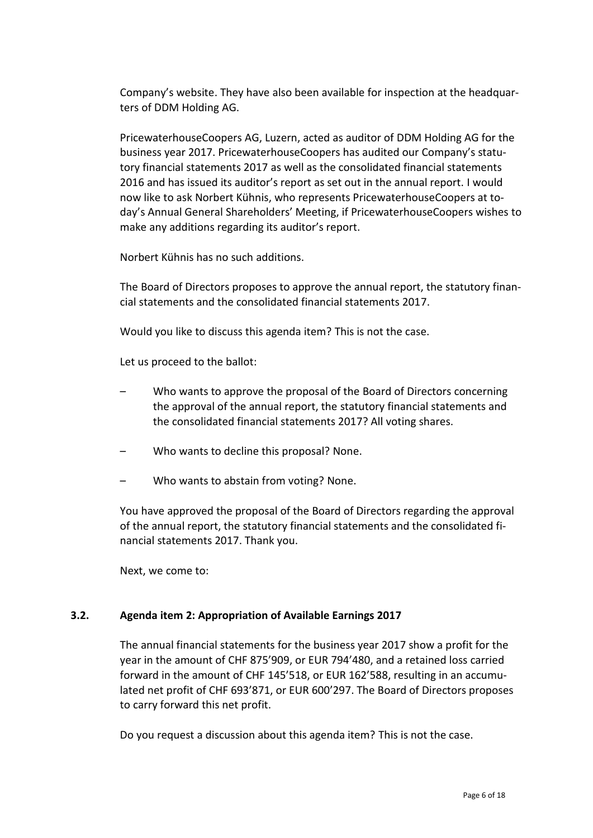Company's website. They have also been available for inspection at the headquarters of DDM Holding AG.

PricewaterhouseCoopers AG, Luzern, acted as auditor of DDM Holding AG for the business year 2017. PricewaterhouseCoopers has audited our Company's statutory financial statements 2017 as well as the consolidated financial statements 2016 and has issued its auditor's report as set out in the annual report. I would now like to ask Norbert Kühnis, who represents PricewaterhouseCoopers at today's Annual General Shareholders' Meeting, if PricewaterhouseCoopers wishes to make any additions regarding its auditor's report.

Norbert Kühnis has no such additions.

The Board of Directors proposes to approve the annual report, the statutory financial statements and the consolidated financial statements 2017.

Would you like to discuss this agenda item? This is not the case.

Let us proceed to the ballot:

- Who wants to approve the proposal of the Board of Directors concerning the approval of the annual report, the statutory financial statements and the consolidated financial statements 2017? All voting shares.
- Who wants to decline this proposal? None.
- Who wants to abstain from voting? None.

You have approved the proposal of the Board of Directors regarding the approval of the annual report, the statutory financial statements and the consolidated financial statements 2017. Thank you.

Next, we come to:

#### **3.2. Agenda item 2: Appropriation of Available Earnings 2017**

The annual financial statements for the business year 2017 show a profit for the year in the amount of CHF 875'909, or EUR 794'480, and a retained loss carried forward in the amount of CHF 145'518, or EUR 162'588, resulting in an accumulated net profit of CHF 693'871, or EUR 600'297. The Board of Directors proposes to carry forward this net profit.

Do you request a discussion about this agenda item? This is not the case.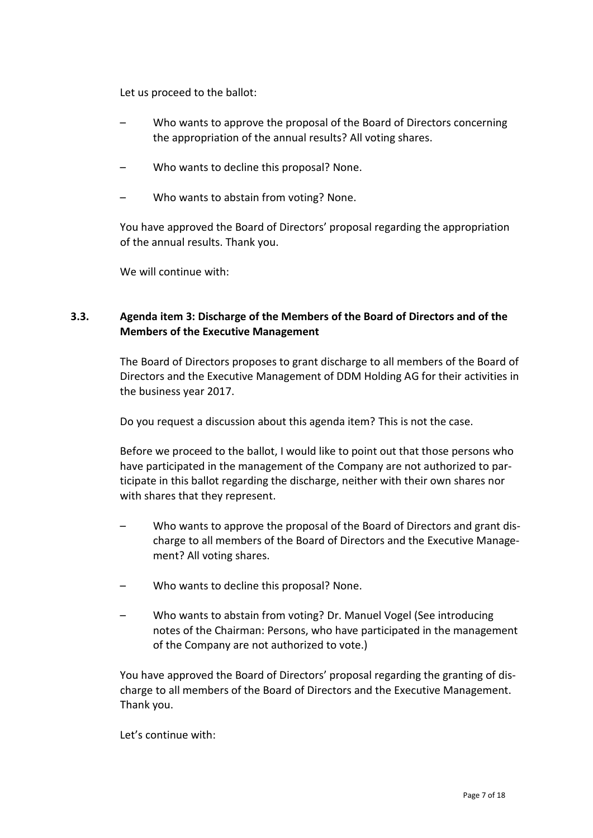Let us proceed to the ballot:

- Who wants to approve the proposal of the Board of Directors concerning the appropriation of the annual results? All voting shares.
- Who wants to decline this proposal? None.
- Who wants to abstain from voting? None.

You have approved the Board of Directors' proposal regarding the appropriation of the annual results. Thank you.

We will continue with:

# **3.3. Agenda item 3: Discharge of the Members of the Board of Directors and of the Members of the Executive Management**

The Board of Directors proposes to grant discharge to all members of the Board of Directors and the Executive Management of DDM Holding AG for their activities in the business year 2017.

Do you request a discussion about this agenda item? This is not the case.

Before we proceed to the ballot, I would like to point out that those persons who have participated in the management of the Company are not authorized to participate in this ballot regarding the discharge, neither with their own shares nor with shares that they represent.

- Who wants to approve the proposal of the Board of Directors and grant discharge to all members of the Board of Directors and the Executive Management? All voting shares.
- Who wants to decline this proposal? None.
- Who wants to abstain from voting? Dr. Manuel Vogel (See introducing notes of the Chairman: Persons, who have participated in the management of the Company are not authorized to vote.)

You have approved the Board of Directors' proposal regarding the granting of discharge to all members of the Board of Directors and the Executive Management. Thank you.

Let's continue with: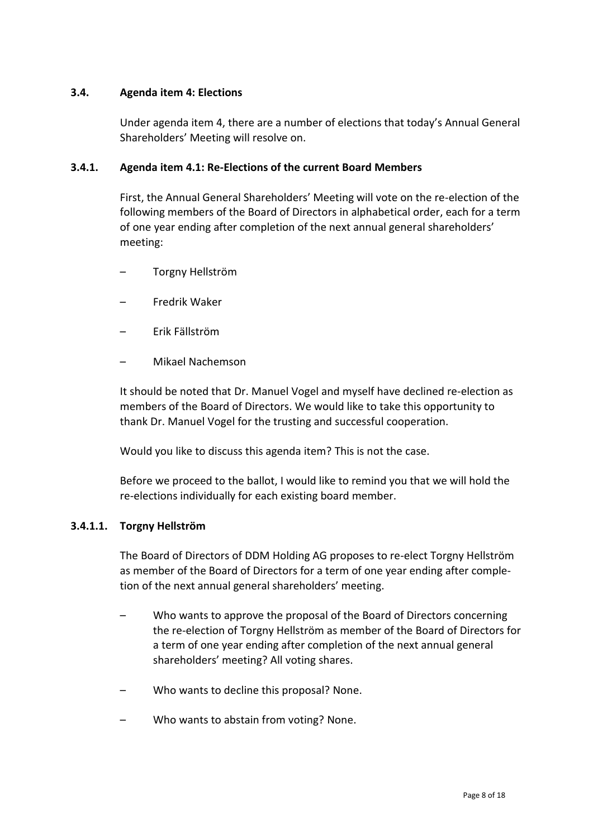#### **3.4. Agenda item 4: Elections**

Under agenda item 4, there are a number of elections that today's Annual General Shareholders' Meeting will resolve on.

#### **3.4.1. Agenda item 4.1: Re-Elections of the current Board Members**

First, the Annual General Shareholders' Meeting will vote on the re-election of the following members of the Board of Directors in alphabetical order, each for a term of one year ending after completion of the next annual general shareholders' meeting:

- Torgny Hellström
- Fredrik Waker
- Erik Fällström
- Mikael Nachemson

It should be noted that Dr. Manuel Vogel and myself have declined re-election as members of the Board of Directors. We would like to take this opportunity to thank Dr. Manuel Vogel for the trusting and successful cooperation.

Would you like to discuss this agenda item? This is not the case.

Before we proceed to the ballot, I would like to remind you that we will hold the re-elections individually for each existing board member.

#### **3.4.1.1. Torgny Hellström**

The Board of Directors of DDM Holding AG proposes to re-elect Torgny Hellström as member of the Board of Directors for a term of one year ending after completion of the next annual general shareholders' meeting.

- Who wants to approve the proposal of the Board of Directors concerning the re-election of Torgny Hellström as member of the Board of Directors for a term of one year ending after completion of the next annual general shareholders' meeting? All voting shares.
- Who wants to decline this proposal? None.
- Who wants to abstain from voting? None.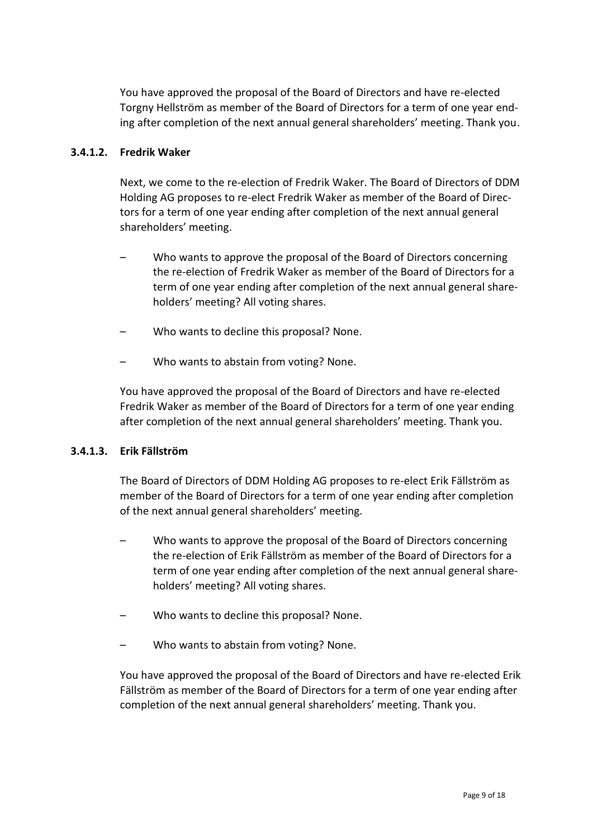You have approved the proposal of the Board of Directors and have re-elected Torgny Hellström as member of the Board of Directors for a term of one year ending after completion of the next annual general shareholders' meeting. Thank you.

#### **3.4.1.2. Fredrik Waker**

Next, we come to the re-election of Fredrik Waker. The Board of Directors of DDM Holding AG proposes to re-elect Fredrik Waker as member of the Board of Directors for a term of one year ending after completion of the next annual general shareholders' meeting.

- Who wants to approve the proposal of the Board of Directors concerning the re-election of Fredrik Waker as member of the Board of Directors for a term of one year ending after completion of the next annual general shareholders' meeting? All voting shares.
- Who wants to decline this proposal? None.
- Who wants to abstain from voting? None.

You have approved the proposal of the Board of Directors and have re-elected Fredrik Waker as member of the Board of Directors for a term of one year ending after completion of the next annual general shareholders' meeting. Thank you.

#### **3.4.1.3. Erik Fällström**

The Board of Directors of DDM Holding AG proposes to re-elect Erik Fällström as member of the Board of Directors for a term of one year ending after completion of the next annual general shareholders' meeting.

- Who wants to approve the proposal of the Board of Directors concerning the re-election of Erik Fällström as member of the Board of Directors for a term of one year ending after completion of the next annual general shareholders' meeting? All voting shares.
- Who wants to decline this proposal? None.
- Who wants to abstain from voting? None.

You have approved the proposal of the Board of Directors and have re-elected Erik Fällström as member of the Board of Directors for a term of one year ending after completion of the next annual general shareholders' meeting. Thank you.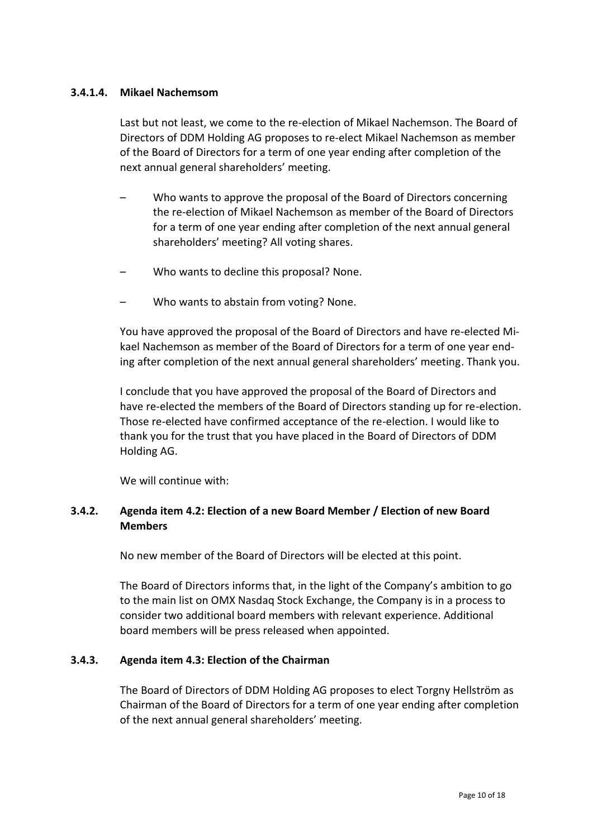#### **3.4.1.4. Mikael Nachemsom**

Last but not least, we come to the re-election of Mikael Nachemson. The Board of Directors of DDM Holding AG proposes to re-elect Mikael Nachemson as member of the Board of Directors for a term of one year ending after completion of the next annual general shareholders' meeting.

- Who wants to approve the proposal of the Board of Directors concerning the re-election of Mikael Nachemson as member of the Board of Directors for a term of one year ending after completion of the next annual general shareholders' meeting? All voting shares.
- Who wants to decline this proposal? None.
- Who wants to abstain from voting? None.

You have approved the proposal of the Board of Directors and have re-elected Mikael Nachemson as member of the Board of Directors for a term of one year ending after completion of the next annual general shareholders' meeting. Thank you.

I conclude that you have approved the proposal of the Board of Directors and have re-elected the members of the Board of Directors standing up for re-election. Those re-elected have confirmed acceptance of the re-election. I would like to thank you for the trust that you have placed in the Board of Directors of DDM Holding AG.

We will continue with:

# **3.4.2. Agenda item 4.2: Election of a new Board Member / Election of new Board Members**

No new member of the Board of Directors will be elected at this point.

The Board of Directors informs that, in the light of the Company's ambition to go to the main list on OMX Nasdaq Stock Exchange, the Company is in a process to consider two additional board members with relevant experience. Additional board members will be press released when appointed.

#### **3.4.3. Agenda item 4.3: Election of the Chairman**

The Board of Directors of DDM Holding AG proposes to elect Torgny Hellström as Chairman of the Board of Directors for a term of one year ending after completion of the next annual general shareholders' meeting.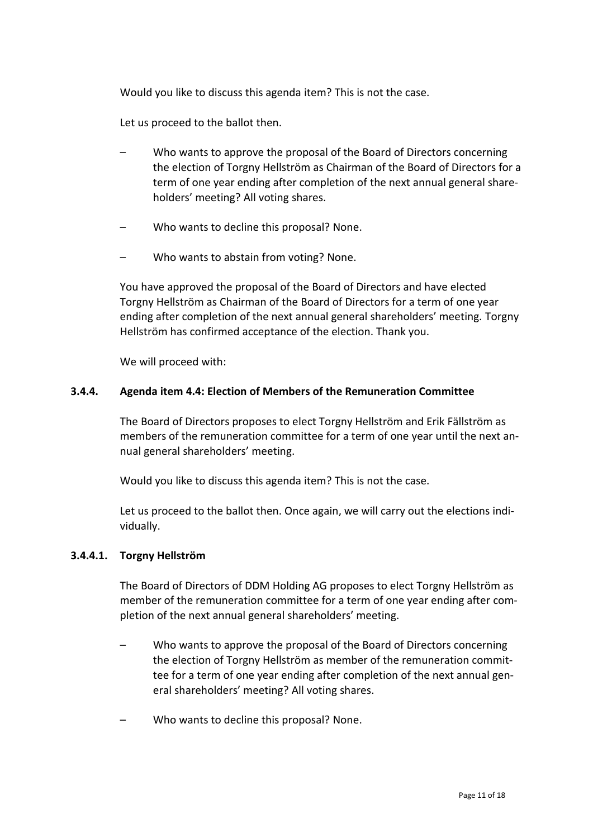Would you like to discuss this agenda item? This is not the case.

Let us proceed to the ballot then.

- Who wants to approve the proposal of the Board of Directors concerning the election of Torgny Hellström as Chairman of the Board of Directors for a term of one year ending after completion of the next annual general shareholders' meeting? All voting shares.
- Who wants to decline this proposal? None.
- Who wants to abstain from voting? None.

You have approved the proposal of the Board of Directors and have elected Torgny Hellström as Chairman of the Board of Directors for a term of one year ending after completion of the next annual general shareholders' meeting. Torgny Hellström has confirmed acceptance of the election. Thank you.

We will proceed with:

#### **3.4.4. Agenda item 4.4: Election of Members of the Remuneration Committee**

The Board of Directors proposes to elect Torgny Hellström and Erik Fällström as members of the remuneration committee for a term of one year until the next annual general shareholders' meeting.

Would you like to discuss this agenda item? This is not the case.

Let us proceed to the ballot then. Once again, we will carry out the elections individually.

#### **3.4.4.1. Torgny Hellström**

The Board of Directors of DDM Holding AG proposes to elect Torgny Hellström as member of the remuneration committee for a term of one year ending after completion of the next annual general shareholders' meeting.

- Who wants to approve the proposal of the Board of Directors concerning the election of Torgny Hellström as member of the remuneration committee for a term of one year ending after completion of the next annual general shareholders' meeting? All voting shares.
- Who wants to decline this proposal? None.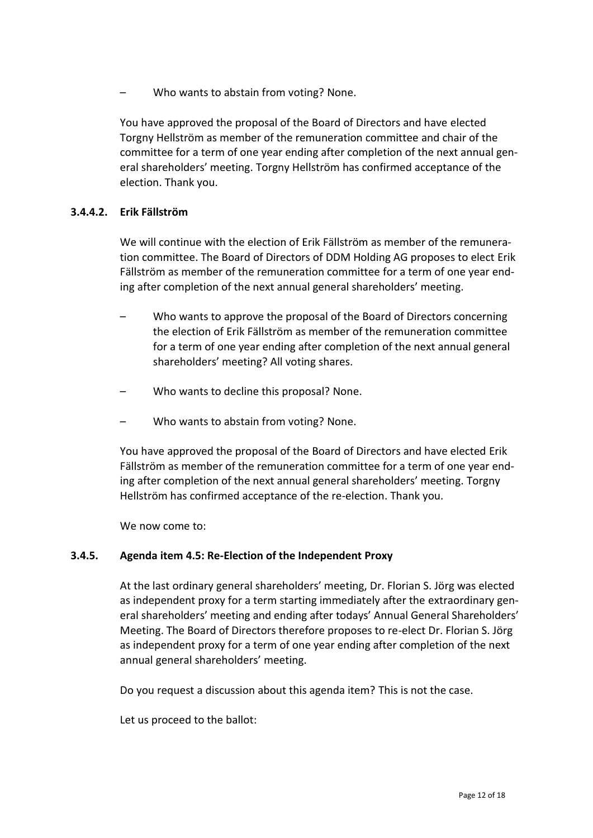– Who wants to abstain from voting? None.

You have approved the proposal of the Board of Directors and have elected Torgny Hellström as member of the remuneration committee and chair of the committee for a term of one year ending after completion of the next annual general shareholders' meeting. Torgny Hellström has confirmed acceptance of the election. Thank you.

#### **3.4.4.2. Erik Fällström**

We will continue with the election of Erik Fällström as member of the remuneration committee. The Board of Directors of DDM Holding AG proposes to elect Erik Fällström as member of the remuneration committee for a term of one year ending after completion of the next annual general shareholders' meeting.

- Who wants to approve the proposal of the Board of Directors concerning the election of Erik Fällström as member of the remuneration committee for a term of one year ending after completion of the next annual general shareholders' meeting? All voting shares.
- Who wants to decline this proposal? None.
- Who wants to abstain from voting? None.

You have approved the proposal of the Board of Directors and have elected Erik Fällström as member of the remuneration committee for a term of one year ending after completion of the next annual general shareholders' meeting. Torgny Hellström has confirmed acceptance of the re-election. Thank you.

We now come to:

#### **3.4.5. Agenda item 4.5: Re-Election of the Independent Proxy**

At the last ordinary general shareholders' meeting, Dr. Florian S. Jörg was elected as independent proxy for a term starting immediately after the extraordinary general shareholders' meeting and ending after todays' Annual General Shareholders' Meeting. The Board of Directors therefore proposes to re-elect Dr. Florian S. Jörg as independent proxy for a term of one year ending after completion of the next annual general shareholders' meeting.

Do you request a discussion about this agenda item? This is not the case.

Let us proceed to the ballot: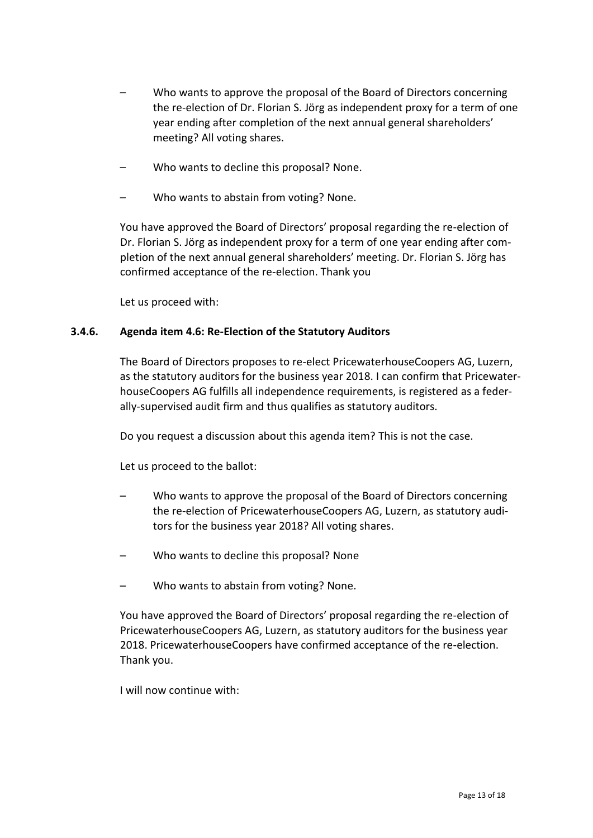- Who wants to approve the proposal of the Board of Directors concerning the re-election of Dr. Florian S. Jörg as independent proxy for a term of one year ending after completion of the next annual general shareholders' meeting? All voting shares.
- Who wants to decline this proposal? None.
- Who wants to abstain from voting? None.

You have approved the Board of Directors' proposal regarding the re-election of Dr. Florian S. Jörg as independent proxy for a term of one year ending after completion of the next annual general shareholders' meeting. Dr. Florian S. Jörg has confirmed acceptance of the re-election. Thank you

Let us proceed with:

#### **3.4.6. Agenda item 4.6: Re-Election of the Statutory Auditors**

The Board of Directors proposes to re-elect PricewaterhouseCoopers AG, Luzern, as the statutory auditors for the business year 2018. I can confirm that PricewaterhouseCoopers AG fulfills all independence requirements, is registered as a federally-supervised audit firm and thus qualifies as statutory auditors.

Do you request a discussion about this agenda item? This is not the case.

Let us proceed to the ballot:

- Who wants to approve the proposal of the Board of Directors concerning the re-election of PricewaterhouseCoopers AG, Luzern, as statutory auditors for the business year 2018? All voting shares.
- Who wants to decline this proposal? None
- Who wants to abstain from voting? None.

You have approved the Board of Directors' proposal regarding the re-election of PricewaterhouseCoopers AG, Luzern, as statutory auditors for the business year 2018. PricewaterhouseCoopers have confirmed acceptance of the re-election. Thank you.

I will now continue with: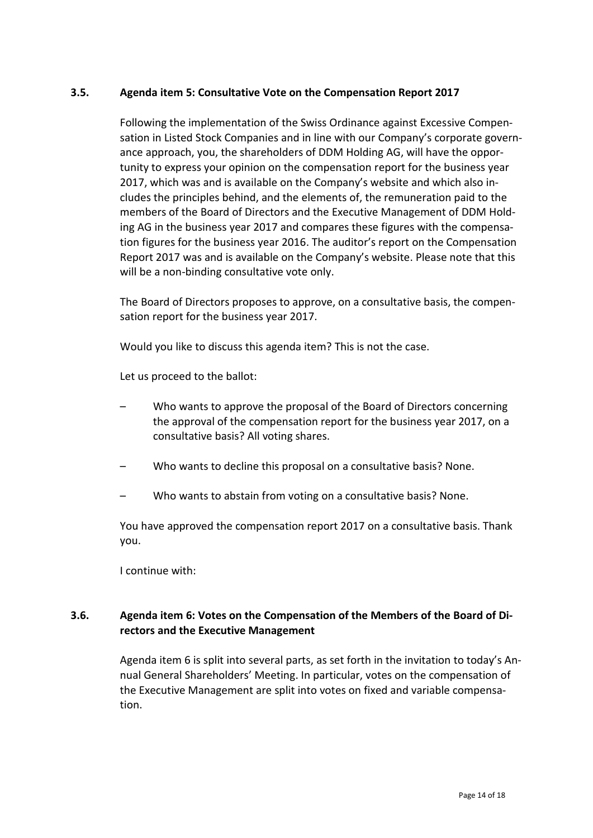#### **3.5. Agenda item 5: Consultative Vote on the Compensation Report 2017**

Following the implementation of the Swiss Ordinance against Excessive Compensation in Listed Stock Companies and in line with our Company's corporate governance approach, you, the shareholders of DDM Holding AG, will have the opportunity to express your opinion on the compensation report for the business year 2017, which was and is available on the Company's website and which also includes the principles behind, and the elements of, the remuneration paid to the members of the Board of Directors and the Executive Management of DDM Holding AG in the business year 2017 and compares these figures with the compensation figures for the business year 2016. The auditor's report on the Compensation Report 2017 was and is available on the Company's website. Please note that this will be a non-binding consultative vote only.

The Board of Directors proposes to approve, on a consultative basis, the compensation report for the business year 2017.

Would you like to discuss this agenda item? This is not the case.

Let us proceed to the ballot:

- Who wants to approve the proposal of the Board of Directors concerning the approval of the compensation report for the business year 2017, on a consultative basis? All voting shares.
- Who wants to decline this proposal on a consultative basis? None.
- Who wants to abstain from voting on a consultative basis? None.

You have approved the compensation report 2017 on a consultative basis. Thank you.

I continue with:

# **3.6. Agenda item 6: Votes on the Compensation of the Members of the Board of Directors and the Executive Management**

Agenda item 6 is split into several parts, as set forth in the invitation to today's Annual General Shareholders' Meeting. In particular, votes on the compensation of the Executive Management are split into votes on fixed and variable compensation.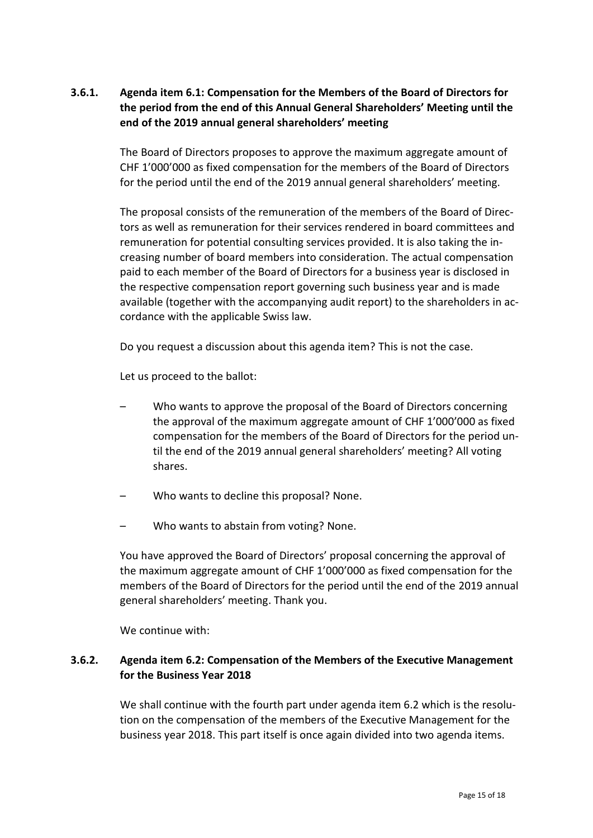# **3.6.1. Agenda item 6.1: Compensation for the Members of the Board of Directors for the period from the end of this Annual General Shareholders' Meeting until the end of the 2019 annual general shareholders' meeting**

The Board of Directors proposes to approve the maximum aggregate amount of CHF 1'000'000 as fixed compensation for the members of the Board of Directors for the period until the end of the 2019 annual general shareholders' meeting.

The proposal consists of the remuneration of the members of the Board of Directors as well as remuneration for their services rendered in board committees and remuneration for potential consulting services provided. It is also taking the increasing number of board members into consideration. The actual compensation paid to each member of the Board of Directors for a business year is disclosed in the respective compensation report governing such business year and is made available (together with the accompanying audit report) to the shareholders in accordance with the applicable Swiss law.

Do you request a discussion about this agenda item? This is not the case.

Let us proceed to the ballot:

- Who wants to approve the proposal of the Board of Directors concerning the approval of the maximum aggregate amount of CHF 1'000'000 as fixed compensation for the members of the Board of Directors for the period until the end of the 2019 annual general shareholders' meeting? All voting shares.
- Who wants to decline this proposal? None.
- Who wants to abstain from voting? None.

You have approved the Board of Directors' proposal concerning the approval of the maximum aggregate amount of CHF 1'000'000 as fixed compensation for the members of the Board of Directors for the period until the end of the 2019 annual general shareholders' meeting. Thank you.

We continue with:

# **3.6.2. Agenda item 6.2: Compensation of the Members of the Executive Management for the Business Year 2018**

We shall continue with the fourth part under agenda item 6.2 which is the resolution on the compensation of the members of the Executive Management for the business year 2018. This part itself is once again divided into two agenda items.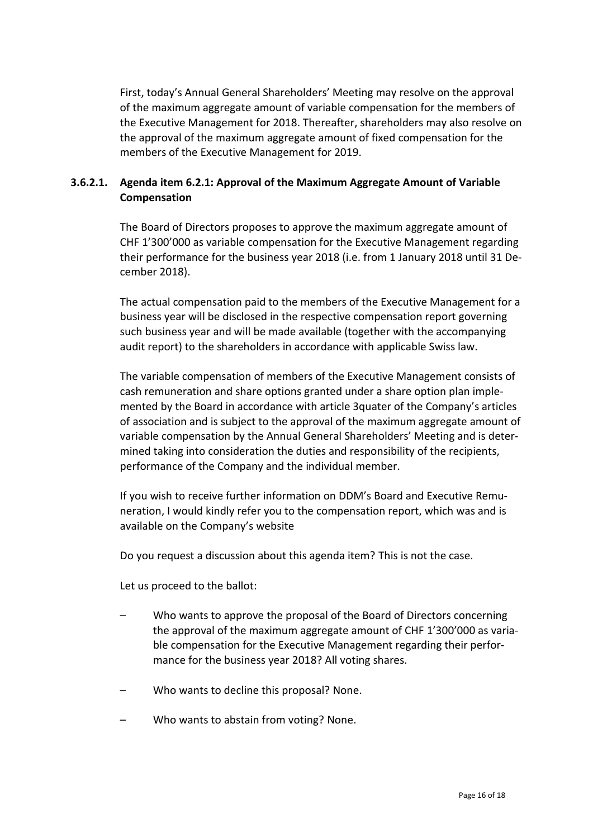First, today's Annual General Shareholders' Meeting may resolve on the approval of the maximum aggregate amount of variable compensation for the members of the Executive Management for 2018. Thereafter, shareholders may also resolve on the approval of the maximum aggregate amount of fixed compensation for the members of the Executive Management for 2019.

# **3.6.2.1. Agenda item 6.2.1: Approval of the Maximum Aggregate Amount of Variable Compensation**

The Board of Directors proposes to approve the maximum aggregate amount of CHF 1'300'000 as variable compensation for the Executive Management regarding their performance for the business year 2018 (i.e. from 1 January 2018 until 31 December 2018).

The actual compensation paid to the members of the Executive Management for a business year will be disclosed in the respective compensation report governing such business year and will be made available (together with the accompanying audit report) to the shareholders in accordance with applicable Swiss law.

The variable compensation of members of the Executive Management consists of cash remuneration and share options granted under a share option plan implemented by the Board in accordance with article 3quater of the Company's articles of association and is subject to the approval of the maximum aggregate amount of variable compensation by the Annual General Shareholders' Meeting and is determined taking into consideration the duties and responsibility of the recipients, performance of the Company and the individual member.

If you wish to receive further information on DDM's Board and Executive Remuneration, I would kindly refer you to the compensation report, which was and is available on the Company's website

Do you request a discussion about this agenda item? This is not the case.

Let us proceed to the ballot:

- Who wants to approve the proposal of the Board of Directors concerning the approval of the maximum aggregate amount of CHF 1'300'000 as variable compensation for the Executive Management regarding their performance for the business year 2018? All voting shares.
- Who wants to decline this proposal? None.
- Who wants to abstain from voting? None.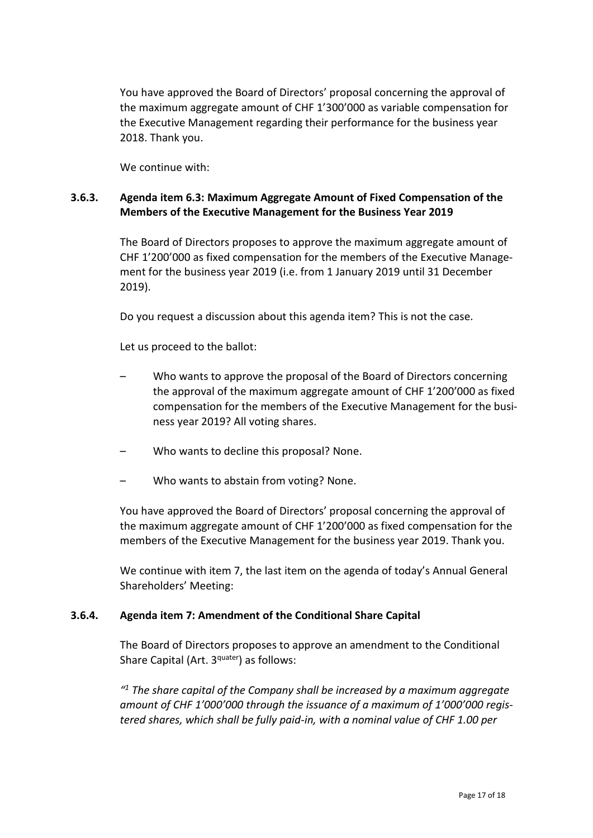You have approved the Board of Directors' proposal concerning the approval of the maximum aggregate amount of CHF 1'300'000 as variable compensation for the Executive Management regarding their performance for the business year 2018. Thank you.

We continue with:

# **3.6.3. Agenda item 6.3: Maximum Aggregate Amount of Fixed Compensation of the Members of the Executive Management for the Business Year 2019**

The Board of Directors proposes to approve the maximum aggregate amount of CHF 1'200'000 as fixed compensation for the members of the Executive Management for the business year 2019 (i.e. from 1 January 2019 until 31 December 2019).

Do you request a discussion about this agenda item? This is not the case.

Let us proceed to the ballot:

- Who wants to approve the proposal of the Board of Directors concerning the approval of the maximum aggregate amount of CHF 1'200'000 as fixed compensation for the members of the Executive Management for the business year 2019? All voting shares.
- Who wants to decline this proposal? None.
- Who wants to abstain from voting? None.

You have approved the Board of Directors' proposal concerning the approval of the maximum aggregate amount of CHF 1'200'000 as fixed compensation for the members of the Executive Management for the business year 2019. Thank you.

We continue with item 7, the last item on the agenda of today's Annual General Shareholders' Meeting:

#### **3.6.4. Agenda item 7: Amendment of the Conditional Share Capital**

The Board of Directors proposes to approve an amendment to the Conditional Share Capital (Art. 3<sup>quater</sup>) as follows:

*" <sup>1</sup> The share capital of the Company shall be increased by a maximum aggregate amount of CHF 1'000'000 through the issuance of a maximum of 1'000'000 registered shares, which shall be fully paid-in, with a nominal value of CHF 1.00 per*